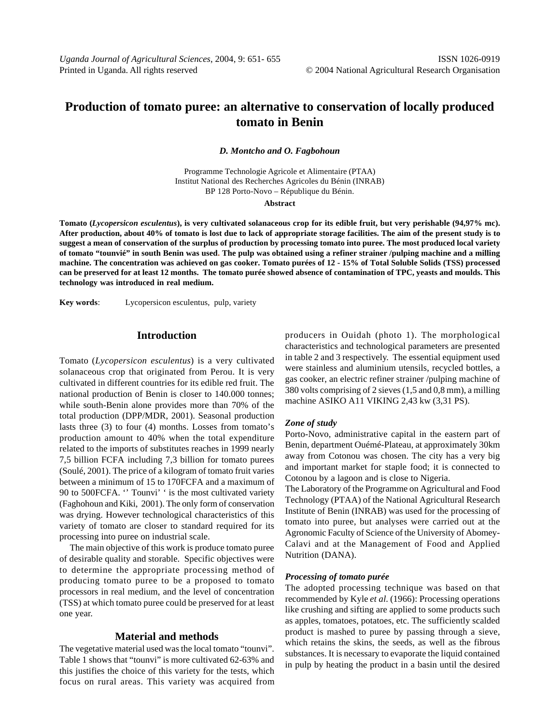# **Production of tomato puree: an alternative to conservation of locally produced tomato in Benin**

*D. Montcho and O. Fagbohoun*

Programme Technologie Agricole et Alimentaire (PTAA) Institut National des Recherches Agricoles du Bénin (INRAB) BP 128 Porto-Novo – République du Bénin.

**Abstract**

**Tomato (***Lycopersicon esculentus***), is very cultivated solanaceous crop for its edible fruit, but very perishable (94,97% mc). After production, about 40% of tomato is lost due to lack of appropriate storage facilities. The aim of the present study is to suggest a mean of conservation of the surplus of production by processing tomato into puree. The most produced local variety of tomato "tounvié" in south Benin was used. The pulp was obtained using a refiner strainer /pulping machine and a milling machine. The concentration was achieved on gas cooker. Tomato purées of 12 - 15% of Total Soluble Solids (TSS) processed can be preserved for at least 12 months. The tomato purée showed absence of contamination of TPC, yeasts and moulds. This technology was introduced in real medium.**

**Key words**: Lycopersicon esculentus, pulp, variety

### **Introduction**

Tomato (*Lycopersicon esculentus*) is a very cultivated solanaceous crop that originated from Perou. It is very cultivated in different countries for its edible red fruit. The national production of Benin is closer to 140.000 tonnes; while south-Benin alone provides more than 70% of the total production (DPP/MDR, 2001). Seasonal production lasts three (3) to four (4) months. Losses from tomato's production amount to 40% when the total expenditure related to the imports of substitutes reaches in 1999 nearly 7,5 billion FCFA including 7,3 billion for tomato purees (Soulé, 2001). The price of a kilogram of tomato fruit varies between a minimum of 15 to 170FCFA and a maximum of 90 to 500FCFA. '' Tounvi' ' is the most cultivated variety (Faghohoun and Kiki, 2001). The only form of conservation was drying. However technological characteristics of this variety of tomato are closer to standard required for its processing into puree on industrial scale.

The main objective of this work is produce tomato puree of desirable quality and storable. Specific objectives were to determine the appropriate processing method of producing tomato puree to be a proposed to tomato processors in real medium, and the level of concentration (TSS) at which tomato puree could be preserved for at least one year.

## **Material and methods**

The vegetative material used was the local tomato "tounvi". Table 1 shows that "tounvi" is more cultivated 62-63% and this justifies the choice of this variety for the tests, which focus on rural areas. This variety was acquired from producers in Ouidah (photo 1). The morphological characteristics and technological parameters are presented in table 2 and 3 respectively. The essential equipment used were stainless and aluminium utensils, recycled bottles, a gas cooker, an electric refiner strainer /pulping machine of 380 volts comprising of 2 sieves (1,5 and 0,8 mm), a milling machine ASIKO A11 VIKING 2,43 kw (3,31 PS).

### *Zone of study*

Porto-Novo, administrative capital in the eastern part of Benin, department Ouémé-Plateau, at approximately 30km away from Cotonou was chosen. The city has a very big and important market for staple food; it is connected to Cotonou by a lagoon and is close to Nigeria.

The Laboratory of the Programme on Agricultural and Food Technology (PTAA) of the National Agricultural Research Institute of Benin (INRAB) was used for the processing of tomato into puree, but analyses were carried out at the Agronomic Faculty of Science of the University of Abomey-Calavi and at the Management of Food and Applied Nutrition (DANA).

#### *Processing of tomato purée*

The adopted processing technique was based on that recommended by Kyle *et al*. (1966): Processing operations like crushing and sifting are applied to some products such as apples, tomatoes, potatoes, etc. The sufficiently scalded product is mashed to puree by passing through a sieve, which retains the skins, the seeds, as well as the fibrous substances. It is necessary to evaporate the liquid contained in pulp by heating the product in a basin until the desired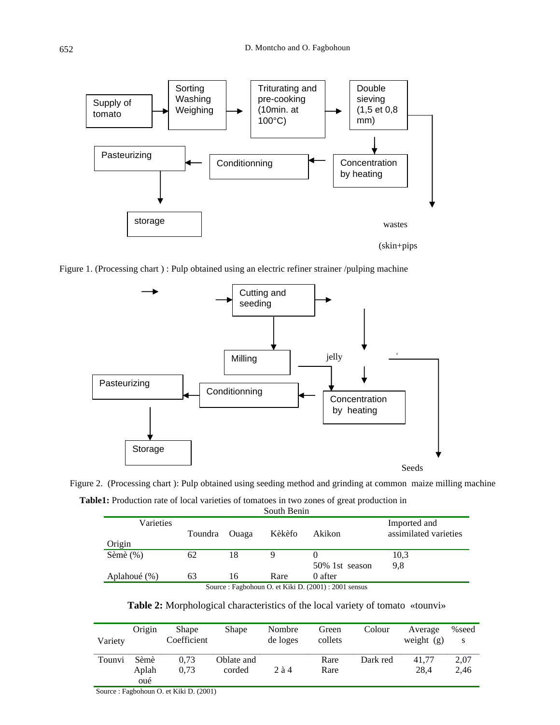

Figure 1. (Processing chart ) : Pulp obtained using an electric refiner strainer /pulping machine



Figure 2. (Processing chart ): Pulp obtained using seeding method and grinding at common maize milling machine **Table1:** Production rate of local varieties of tomatoes in two zones of great production in

| South Benin                                           |         |       |        |                |                                       |  |  |  |
|-------------------------------------------------------|---------|-------|--------|----------------|---------------------------------------|--|--|--|
| Varieties                                             | Toundra | Ouaga | Kèkèfo | Akikon         | Imported and<br>assimilated varieties |  |  |  |
| Origin                                                |         |       |        |                |                                       |  |  |  |
| Sèmè $(\%)$                                           | 62      | 18    | 9      |                | 10.3                                  |  |  |  |
|                                                       |         |       |        | 50% 1st season | 9.8                                   |  |  |  |
| Aplahoué (%)                                          | 63      | 16    | Rare   | 0 after        |                                       |  |  |  |
| Source : Fagbohoun O. et Kiki D. (2001) : 2001 sensus |         |       |        |                |                                       |  |  |  |

| <b>Table 2:</b> Morphological characteristics of the local variety of tomato «tounvi» |  |  |  |
|---------------------------------------------------------------------------------------|--|--|--|
|---------------------------------------------------------------------------------------|--|--|--|

| Variety | Origin               | <b>Shape</b><br>Coefficient | <b>Shape</b>         | Nombre<br>de loges | Green<br>collets | Colour   | Average<br>weight $(g)$ | %seed<br>S   |
|---------|----------------------|-----------------------------|----------------------|--------------------|------------------|----------|-------------------------|--------------|
| Tounvi  | Sèmè<br>Aplah<br>oué | 0.73<br>0.73                | Oblate and<br>corded | 2a4                | Rare<br>Rare     | Dark red | 41.77<br>28.4           | 2,07<br>2,46 |

Source : Fagbohoun O. et Kiki D. (2001)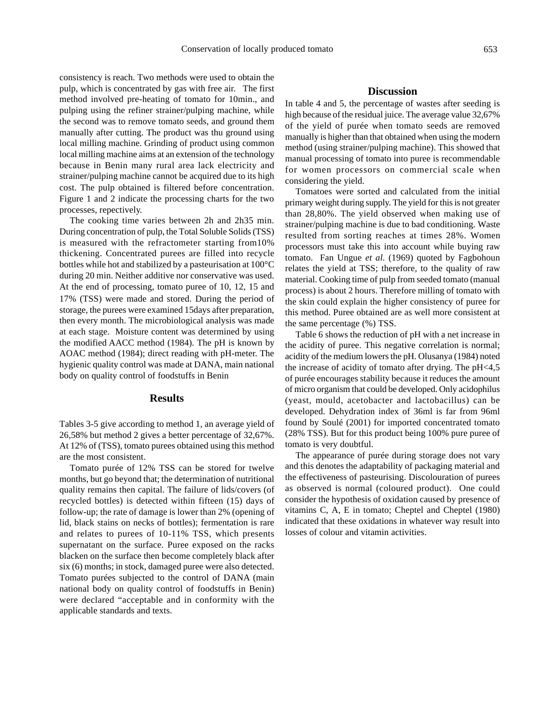consistency is reach. Two methods were used to obtain the pulp, which is concentrated by gas with free air. The first method involved pre-heating of tomato for 10min., and pulping using the refiner strainer/pulping machine, while the second was to remove tomato seeds, and ground them manually after cutting. The product was thu ground using local milling machine. Grinding of product using common local milling machine aims at an extension of the technology because in Benin many rural area lack electricity and strainer/pulping machine cannot be acquired due to its high cost. The pulp obtained is filtered before concentration. Figure 1 and 2 indicate the processing charts for the two processes, repectively.

The cooking time varies between 2h and 2h35 min. During concentration of pulp, the Total Soluble Solids (TSS) is measured with the refractometer starting from10% thickening. Concentrated purees are filled into recycle bottles while hot and stabilized by a pasteurisation at 100°C during 20 min. Neither additive nor conservative was used. At the end of processing, tomato puree of 10, 12, 15 and 17% (TSS) were made and stored. During the period of storage, the purees were examined 15days after preparation, then every month. The microbiological analysis was made at each stage. Moisture content was determined by using the modified AACC method (1984). The pH is known by AOAC method (1984); direct reading with pH-meter. The hygienic quality control was made at DANA, main national body on quality control of foodstuffs in Benin

### **Results**

Tables 3-5 give according to method 1, an average yield of 26,58% but method 2 gives a better percentage of 32,67%. At 12% of (TSS), tomato purees obtained using this method are the most consistent.

Tomato purée of 12% TSS can be stored for twelve months, but go beyond that; the determination of nutritional quality remains then capital. The failure of lids/covers (of recycled bottles) is detected within fifteen (15) days of follow-up; the rate of damage is lower than 2% (opening of lid, black stains on necks of bottles); fermentation is rare and relates to purees of 10-11% TSS, which presents supernatant on the surface. Puree exposed on the racks blacken on the surface then become completely black after six (6) months; in stock, damaged puree were also detected. Tomato purées subjected to the control of DANA (main national body on quality control of foodstuffs in Benin) were declared "acceptable and in conformity with the applicable standards and texts.

# **Discussion**

In table 4 and 5, the percentage of wastes after seeding is high because of the residual juice. The average value 32,67% of the yield of purée when tomato seeds are removed manually is higher than that obtained when using the modern method (using strainer/pulping machine). This showed that manual processing of tomato into puree is recommendable for women processors on commercial scale when considering the yield.

Tomatoes were sorted and calculated from the initial primary weight during supply. The yield for this is not greater than 28,80%. The yield observed when making use of strainer/pulping machine is due to bad conditioning. Waste resulted from sorting reaches at times 28%. Women processors must take this into account while buying raw tomato. Fan Ungue *et al*. (1969) quoted by Fagbohoun relates the yield at TSS; therefore, to the quality of raw material. Cooking time of pulp from seeded tomato (manual process) is about 2 hours. Therefore milling of tomato with the skin could explain the higher consistency of puree for this method. Puree obtained are as well more consistent at the same percentage (%) TSS.

Table 6 shows the reduction of pH with a net increase in the acidity of puree. This negative correlation is normal; acidity of the medium lowers the pH. Olusanya (1984) noted the increase of acidity of tomato after drying. The pH<4,5 of purée encourages stability because it reduces the amount of micro organism that could be developed. Only acidophilus (yeast, mould, acetobacter and lactobacillus) can be developed. Dehydration index of 36ml is far from 96ml found by Soulé (2001) for imported concentrated tomato (28% TSS). But for this product being 100% pure puree of tomato is very doubtful.

The appearance of purée during storage does not vary and this denotes the adaptability of packaging material and the effectiveness of pasteurising. Discolouration of purees as observed is normal (coloured product). One could consider the hypothesis of oxidation caused by presence of vitamins C, A, E in tomato; Cheptel and Cheptel (1980) indicated that these oxidations in whatever way result into losses of colour and vitamin activities.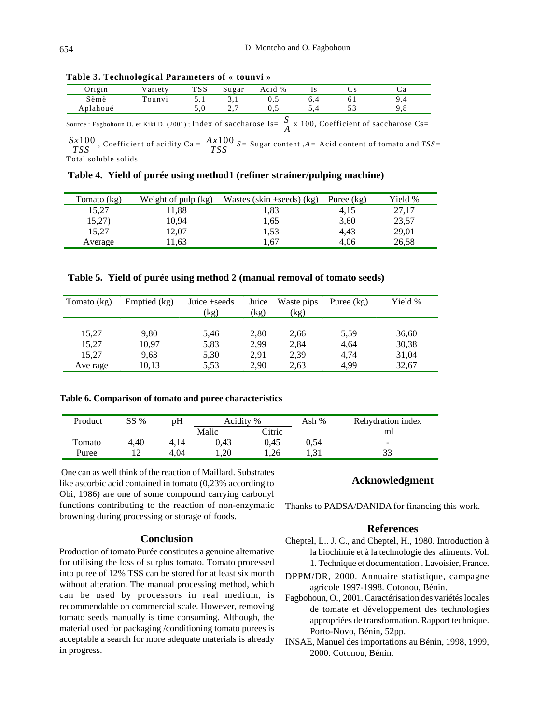| Origin   | /ariety | TSS   | Sugar | Acid % |    |            |
|----------|---------|-------|-------|--------|----|------------|
| Sèmè     | 'ounvi  |       | .     | ∪.J    | ОI |            |
| Aplahoué |         | . J.V | . .   | ∪.⊃    |    | <b>∠.∪</b> |

**Table 3. Technological Parameters of « tounvi »**

Source : Fagbohoun O. et Kiki D. (2001) ; Index of saccharose Is=  $\frac{S}{A}$  x 100, Coefficient of saccharose Cs=

 $\frac{Sx100}{TSS}$ , Coefficient of acidity Ca =  $\frac{Ax100}{TSS}$  *S*= Sugar content ,*A* = Acid content of tomato and *TSS*=

Total soluble solids

**Table 4. Yield of purée using method1 (refiner strainer/pulping machine)**

| Tomato (kg) | Weight of pulp $(kg)$ | Wastes (skin +seeds) $(kg)$ | Puree (kg) | Yield % |
|-------------|-----------------------|-----------------------------|------------|---------|
| 15,27       | 11,88                 | 1.83                        | 4,15       | 27,17   |
| 15,27)      | 10,94                 | 1,65                        | 3,60       | 23,57   |
| 15,27       | 12,07                 | 1.53                        | 4,43       | 29,01   |
| Average     | 1.63                  | 1.67                        | 4.06       | 26.58   |

|  |  |  |  |  |  | Table 5. Yield of purée using method 2 (manual removal of tomato seeds) |
|--|--|--|--|--|--|-------------------------------------------------------------------------|
|--|--|--|--|--|--|-------------------------------------------------------------------------|

| Tomato (kg) | Emptied (kg) | Juice +seeds<br>(kg) | Juice<br>(kg) | Waste pips<br>(kg) | Puree $(kg)$ | Yield % |
|-------------|--------------|----------------------|---------------|--------------------|--------------|---------|
| 15,27       | 9,80         | 5,46                 | 2,80          | 2,66               | 5.59         | 36,60   |
| 15,27       | 10,97        | 5,83                 | 2,99          | 2,84               | 4,64         | 30,38   |
| 15,27       | 9.63         | 5,30                 | 2,91          | 2,39               | 4,74         | 31,04   |
| Ave rage    | 10,13        | 5.53                 | 2,90          | 2,63               | 4,99         | 32,67   |

### **Table 6. Comparison of tomato and puree characteristics**

| Product | SS % | pH   | Acidity % |        | Ash % | Rehydration index        |
|---------|------|------|-----------|--------|-------|--------------------------|
|         |      |      | Malic     | Citric |       | ml                       |
| Tomato  | 4.40 | 4.14 | 0.43      | 0.45   | 0.54  | $\overline{\phantom{a}}$ |
| Puree   |      | 4.04 | .20       | .26    |       |                          |

 One can as well think of the reaction of Maillard. Substrates like ascorbic acid contained in tomato (0,23% according to Obi, 1986) are one of some compound carrying carbonyl functions contributing to the reaction of non-enzymatic browning during processing or storage of foods.

# **Conclusion**

Production of tomato Purée constitutes a genuine alternative for utilising the loss of surplus tomato. Tomato processed into puree of 12% TSS can be stored for at least six month without alteration. The manual processing method, which can be used by processors in real medium, is recommendable on commercial scale. However, removing tomato seeds manually is time consuming. Although, the material used for packaging /conditioning tomato purees is acceptable a search for more adequate materials is already in progress.

### **Acknowledgment**

Thanks to PADSA/DANIDA for financing this work.

### **References**

- Cheptel, L.. J. C., and Cheptel, H., 1980. Introduction à la biochimie et à la technologie des aliments. Vol. 1. Technique et documentation . Lavoisier, France.
- DPPM/DR, 2000. Annuaire statistique, campagne agricole 1997-1998. Cotonou, Bénin.
- Fagbohoun, O., 2001. Caractérisation des variétés locales de tomate et développement des technologies appropriées de transformation. Rapport technique. Porto-Novo, Bénin, 52pp.
- INSAE, Manuel des importations au Bénin, 1998, 1999, 2000. Cotonou, Bénin.